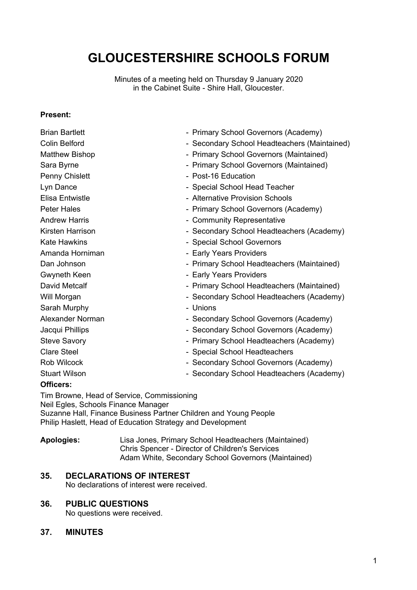# **GLOUCESTERSHIRE SCHOOLS FORUM**

Minutes of a meeting held on Thursday 9 January 2020 in the Cabinet Suite - Shire Hall, Gloucester.

#### **Present:**

| <b>Brian Bartlett</b>  | - Primary School Governors (Academy)         |
|------------------------|----------------------------------------------|
| <b>Colin Belford</b>   | - Secondary School Headteachers (Maintained) |
| <b>Matthew Bishop</b>  | - Primary School Governors (Maintained)      |
| Sara Byrne             | - Primary School Governors (Maintained)      |
| Penny Chislett         | - Post-16 Education                          |
| Lyn Dance              | - Special School Head Teacher                |
| <b>Elisa Entwistle</b> | - Alternative Provision Schools              |
| <b>Peter Hales</b>     | - Primary School Governors (Academy)         |
| <b>Andrew Harris</b>   | - Community Representative                   |
| Kirsten Harrison       | - Secondary School Headteachers (Academy)    |
| <b>Kate Hawkins</b>    | - Special School Governors                   |
| Amanda Horniman        | - Early Years Providers                      |
| Dan Johnson            | - Primary School Headteachers (Maintained)   |
| Gwyneth Keen           | - Early Years Providers                      |
| <b>David Metcalf</b>   | - Primary School Headteachers (Maintained)   |
| Will Morgan            | - Secondary School Headteachers (Academy)    |
| Sarah Murphy           | - Unions                                     |
| Alexander Norman       | - Secondary School Governors (Academy)       |
| Jacqui Phillips        | - Secondary School Governors (Academy)       |
| <b>Steve Savory</b>    | - Primary School Headteachers (Academy)      |
| <b>Clare Steel</b>     | - Special School Headteachers                |
| Rob Wilcock            | - Secondary School Governors (Academy)       |
| <b>Stuart Wilson</b>   | - Secondary School Headteachers (Academy)    |
| <b>Officers:</b>       |                                              |
|                        |                                              |

Tim Browne, Head of Service, Commissioning Neil Egles, Schools Finance Manager Suzanne Hall, Finance Business Partner Children and Young People Philip Haslett, Head of Education Strategy and Development

**Apologies:** Lisa Jones, Primary School Headteachers (Maintained) Chris Spencer - Director of Children's Services Adam White, Secondary School Governors (Maintained)

# **35. DECLARATIONS OF INTEREST**

No declarations of interest were received.

#### **36. PUBLIC QUESTIONS**

No questions were received.

## **37. MINUTES**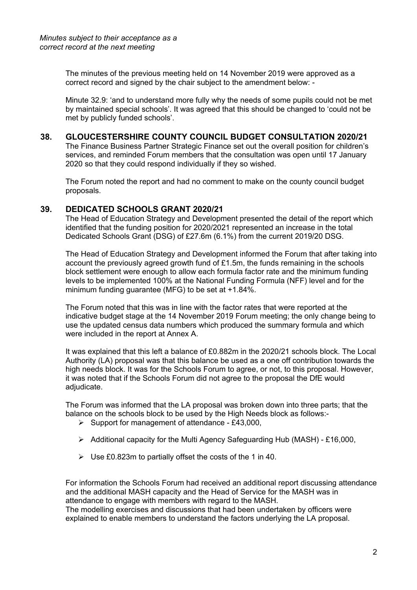The minutes of the previous meeting held on 14 November 2019 were approved as a correct record and signed by the chair subject to the amendment below: -

Minute 32.9: 'and to understand more fully why the needs of some pupils could not be met by maintained special schools'. It was agreed that this should be changed to 'could not be met by publicly funded schools'.

## **38. GLOUCESTERSHIRE COUNTY COUNCIL BUDGET CONSULTATION 2020/21**

The Finance Business Partner Strategic Finance set out the overall position for children's services, and reminded Forum members that the consultation was open until 17 January 2020 so that they could respond individually if they so wished.

The Forum noted the report and had no comment to make on the county council budget proposals.

## **39. DEDICATED SCHOOLS GRANT 2020/21**

The Head of Education Strategy and Development presented the detail of the report which identified that the funding position for 2020/2021 represented an increase in the total Dedicated Schools Grant (DSG) of £27.6m (6.1%) from the current 2019/20 DSG.

The Head of Education Strategy and Development informed the Forum that after taking into account the previously agreed growth fund of  $£1.5m$ , the funds remaining in the schools block settlement were enough to allow each formula factor rate and the minimum funding levels to be implemented 100% at the National Funding Formula (NFF) level and for the minimum funding guarantee (MFG) to be set at +1.84%.

The Forum noted that this was in line with the factor rates that were reported at the indicative budget stage at the 14 November 2019 Forum meeting; the only change being to use the updated census data numbers which produced the summary formula and which were included in the report at Annex A.

It was explained that this left a balance of £0.882m in the 2020/21 schools block. The Local Authority (LA) proposal was that this balance be used as a one off contribution towards the high needs block. It was for the Schools Forum to agree, or not, to this proposal. However, it was noted that if the Schools Forum did not agree to the proposal the DfE would adjudicate.

The Forum was informed that the LA proposal was broken down into three parts; that the balance on the schools block to be used by the High Needs block as follows:-

- $\triangleright$  Support for management of attendance £43,000,
- $\triangleright$  Additional capacity for the Multi Agency Safeguarding Hub (MASH) £16,000,
- $\triangleright$  Use £0.823m to partially offset the costs of the 1 in 40.

For information the Schools Forum had received an additional report discussing attendance and the additional MASH capacity and the Head of Service for the MASH was in attendance to engage with members with regard to the MASH.

The modelling exercises and discussions that had been undertaken by officers were explained to enable members to understand the factors underlying the LA proposal.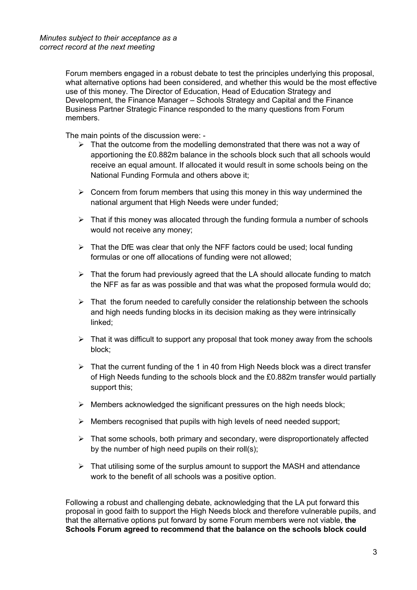Forum members engaged in a robust debate to test the principles underlying this proposal, what alternative options had been considered, and whether this would be the most effective use of this money. The Director of Education, Head of Education Strategy and Development, the Finance Manager – Schools Strategy and Capital and the Finance Business Partner Strategic Finance responded to the many questions from Forum members.

The main points of the discussion were: -

- $\triangleright$  That the outcome from the modelling demonstrated that there was not a way of apportioning the £0.882m balance in the schools block such that all schools would receive an equal amount. If allocated it would result in some schools being on the National Funding Formula and others above it;
- $\triangleright$  Concern from forum members that using this money in this way undermined the national argument that High Needs were under funded;
- $\triangleright$  That if this money was allocated through the funding formula a number of schools would not receive any money;
- $\triangleright$  That the DfE was clear that only the NFF factors could be used; local funding formulas or one off allocations of funding were not allowed;
- $\triangleright$  That the forum had previously agreed that the LA should allocate funding to match the NFF as far as was possible and that was what the proposed formula would do;
- $\triangleright$  That the forum needed to carefully consider the relationship between the schools and high needs funding blocks in its decision making as they were intrinsically linked;
- $\triangleright$  That it was difficult to support any proposal that took money away from the schools block;
- $\triangleright$  That the current funding of the 1 in 40 from High Needs block was a direct transfer of High Needs funding to the schools block and the £0.882m transfer would partially support this;
- $\triangleright$  Members acknowledged the significant pressures on the high needs block;
- $\triangleright$  Members recognised that pupils with high levels of need needed support;
- $\triangleright$  That some schools, both primary and secondary, were disproportionately affected by the number of high need pupils on their roll(s);
- $\triangleright$  That utilising some of the surplus amount to support the MASH and attendance work to the benefit of all schools was a positive option.

Following a robust and challenging debate, acknowledging that the LA put forward this proposal in good faith to support the High Needs block and therefore vulnerable pupils, and that the alternative options put forward by some Forum members were not viable, **the Schools Forum agreed to recommend that the balance on the schools block could**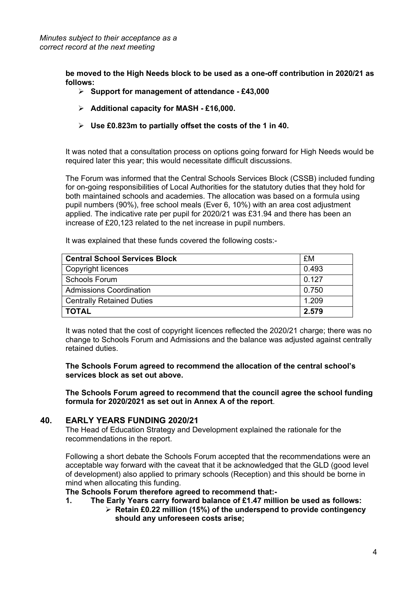**be moved to the High Needs block to be used as a one-off contribution in 2020/21 as follows:**

- **Support for management of attendance - £43,000**
- **Additional capacity for MASH - £16,000.**
- **Use £0.823m to partially offset the costs of the 1 in 40.**

It was noted that a consultation process on options going forward for High Needs would be required later this year; this would necessitate difficult discussions.

The Forum was informed that the Central Schools Services Block (CSSB) included funding for on-going responsibilities of Local Authorities for the statutory duties that they hold for both maintained schools and academies. The allocation was based on a formula using pupil numbers (90%), free school meals (Ever 6, 10%) with an area cost adjustment applied. The indicative rate per pupil for 2020/21 was £31.94 and there has been an increase of £20,123 related to the net increase in pupil numbers.

**Central School Services Block**  $\begin{array}{c} \boxed{FM} \\ \end{array}$ Copyright licences and the contract of the contract of the contract of the contract of the contract of the contract of the contract of the contract of the contract of the contract of the contract of the contract of the con Schools Forum  $\vert$  0.127 Admissions Coordination 0.750 Centrally Retained Duties 1.209 **TOTAL 2.579**

It was explained that these funds covered the following costs:-

It was noted that the cost of copyright licences reflected the 2020/21 charge; there was no change to Schools Forum and Admissions and the balance was adjusted against centrally retained duties.

**The Schools Forum agreed to recommend the allocation of the central school's services block as set out above.**

**The Schools Forum agreed to recommend that the council agree the school funding formula for 2020/2021 as set out in Annex A of the report**.

#### **40. EARLY YEARS FUNDING 2020/21**

The Head of Education Strategy and Development explained the rationale for the recommendations in the report.

Following a short debate the Schools Forum accepted that the recommendations were an acceptable way forward with the caveat that it be acknowledged that the GLD (good level of development) also applied to primary schools (Reception) and this should be borne in mind when allocating this funding.

#### **The Schools Forum therefore agreed to recommend that:-**

- **1. The Early Years carry forward balance of £1.47 million be used as follows:**
	- **Retain £0.22 million (15%) of the underspend to provide contingency should any unforeseen costs arise;**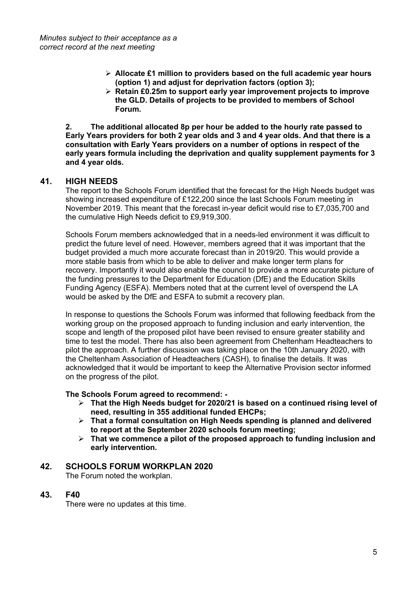- **Allocate £1 million to providers based on the full academic year hours (option 1) and adjust for deprivation factors (option 3);**
- **Retain £0.25m to support early year improvement projects to improve the GLD. Details of projects to be provided to members of School Forum.**

**2. The additional allocated 8p per hour be added to the hourly rate passed to Early Years providers for both 2 year olds and 3 and 4 year olds. And that there is a consultation with Early Years providers on a number of options in respect of the early years formula including the deprivation and quality supplement payments for 3 and 4 year olds.**

## **41. HIGH NEEDS**

The report to the Schools Forum identified that the forecast for the High Needs budget was showing increased expenditure of £122,200 since the last Schools Forum meeting in November 2019. This meant that the forecast in-year deficit would rise to £7,035,700 and the cumulative High Needs deficit to £9,919,300.

Schools Forum members acknowledged that in a needs-led environment it was difficult to predict the future level of need. However, members agreed that it was important that the budget provided a much more accurate forecast than in 2019/20. This would provide a more stable basis from which to be able to deliver and make longer term plans for recovery. Importantly it would also enable the council to provide a more accurate picture of the funding pressures to the Department for Education (DfE) and the Education Skills Funding Agency (ESFA). Members noted that at the current level of overspend the LA would be asked by the DfE and ESFA to submit a recovery plan.

In response to questions the Schools Forum was informed that following feedback from the working group on the proposed approach to funding inclusion and early intervention, the scope and length of the proposed pilot have been revised to ensure greater stability and time to test the model. There has also been agreement from Cheltenham Headteachers to pilot the approach. A further discussion was taking place on the 10th January 2020, with the Cheltenham Association of Headteachers (CASH), to finalise the details. It was acknowledged that it would be important to keep the Alternative Provision sector informed on the progress of the pilot.

#### **The Schools Forum agreed to recommend: -**

- **That the High Needs budget for 2020/21 is based on a continued rising level of need, resulting in 355 additional funded EHCPs;**
- **That a formal consultation on High Needs spending is planned and delivered to report at the September 2020 schools forum meeting;**
- **That we commence a pilot of the proposed approach to funding inclusion and early intervention.**

## **42. SCHOOLS FORUM WORKPLAN 2020**

The Forum noted the workplan.

#### **43. F40**

There were no updates at this time.